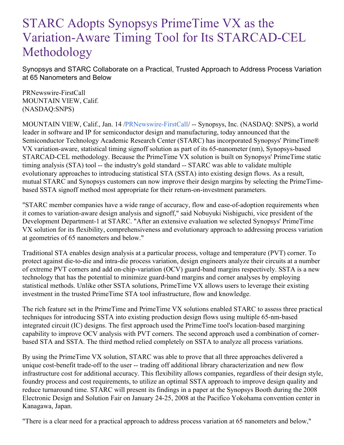## STARC Adopts Synopsys PrimeTime VX as the Variation-Aware Timing Tool for Its STARCAD-CEL Methodology

Synopsys and STARC Collaborate on a Practical, Trusted Approach to Address Process Variation at 65 Nanometers and Below

PRNewswire-FirstCall MOUNTAIN VIEW, Calif. (NASDAQ:SNPS)

MOUNTAIN VIEW, Calif., Jan. 14 [/PRNewswire-FirstCall](http://www.prnewswire.com/)/ -- Synopsys, Inc. (NASDAQ: SNPS), a world leader in software and IP for semiconductor design and manufacturing, today announced that the Semiconductor Technology Academic Research Center (STARC) has incorporated Synopsys' PrimeTime® VX variation-aware, statistical timing signoff solution as part of its 65-nanometer (nm), Synopsys-based STARCAD-CEL methodology. Because the PrimeTime VX solution is built on Synopsys' PrimeTime static timing analysis (STA) tool -- the industry's gold standard -- STARC was able to validate multiple evolutionary approaches to introducing statistical STA (SSTA) into existing design flows. As a result, mutual STARC and Synopsys customers can now improve their design margins by selecting the PrimeTimebased SSTA signoff method most appropriate for their return-on-investment parameters.

"STARC member companies have a wide range of accuracy, flow and ease-of-adoption requirements when it comes to variation-aware design analysis and signoff," said Nobuyuki Nishiguchi, vice president of the Development Department-1 at STARC. "After an extensive evaluation we selected Synopsys' PrimeTime VX solution for its flexibility, comprehensiveness and evolutionary approach to addressing process variation at geometries of 65 nanometers and below."

Traditional STA enables design analysis at a particular process, voltage and temperature (PVT) corner. To protect against die-to-die and intra-die process variation, design engineers analyze their circuits at a number of extreme PVT corners and add on-chip-variation (OCV) guard-band margins respectively. SSTA is a new technology that has the potential to minimize guard-band margins and corner analyses by employing statistical methods. Unlike other SSTA solutions, PrimeTime VX allows users to leverage their existing investment in the trusted PrimeTime STA tool infrastructure, flow and knowledge.

The rich feature set in the PrimeTime and PrimeTime VX solutions enabled STARC to assess three practical techniques for introducing SSTA into existing production design flows using multiple 65-nm-based integrated circuit (IC) designs. The first approach used the PrimeTime tool's location-based margining capability to improve OCV analysis with PVT corners. The second approach used a combination of cornerbased STA and SSTA. The third method relied completely on SSTA to analyze all process variations.

By using the PrimeTime VX solution, STARC was able to prove that all three approaches delivered a unique cost-benefit trade-off to the user -- trading off additional library characterization and new flow infrastructure cost for additional accuracy. This flexibility allows companies, regardless of their design style, foundry process and cost requirements, to utilize an optimal SSTA approach to improve design quality and reduce turnaround time. STARC will present its findings in a paper at the Synopsys Booth during the 2008 Electronic Design and Solution Fair on January 24-25, 2008 at the Pacifico Yokohama convention center in Kanagawa, Japan.

"There is a clear need for a practical approach to address process variation at 65 nanometers and below,"